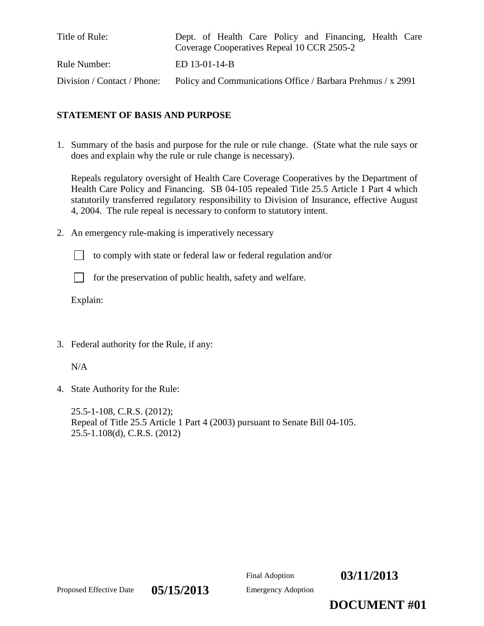| Title of Rule:              | Dept. of Health Care Policy and Financing, Health Care<br>Coverage Cooperatives Repeal 10 CCR 2505-2 |  |
|-----------------------------|------------------------------------------------------------------------------------------------------|--|
| Rule Number:                | ED 13-01-14-B                                                                                        |  |
| Division / Contact / Phone: | Policy and Communications Office / Barbara Prehmus / x 2991                                          |  |

# **STATEMENT OF BASIS AND PURPOSE**

1. Summary of the basis and purpose for the rule or rule change. (State what the rule says or does and explain why the rule or rule change is necessary).

Repeals regulatory oversight of Health Care Coverage Cooperatives by the Department of Health Care Policy and Financing. SB 04-105 repealed Title 25.5 Article 1 Part 4 which statutorily transferred regulatory responsibility to Division of Insurance, effective August 4, 2004. The rule repeal is necessary to conform to statutory intent.

2. An emergency rule-making is imperatively necessary

to comply with state or federal law or federal regulation and/or

for the preservation of public health, safety and welfare.

Explain:

3. Federal authority for the Rule, if any:

 $N/A$ 

4. State Authority for the Rule:

25.5-1-108, C.R.S. (2012); Repeal of Title 25.5 Article 1 Part 4 (2003) pursuant to Senate Bill 04-105. 25.5-1.108(d), C.R.S. (2012)



Proposed Effective Date  $0.5/15/2013$  Emergency Adoption

**DOCUMENT #01**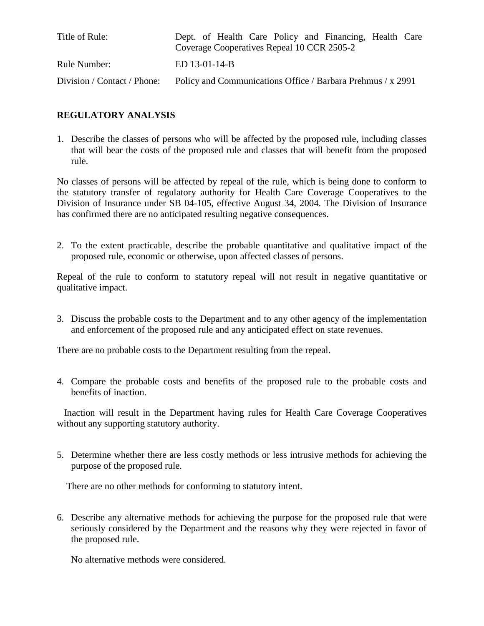| Title of Rule:              | Dept. of Health Care Policy and Financing, Health Care<br>Coverage Cooperatives Repeal 10 CCR 2505-2 |  |
|-----------------------------|------------------------------------------------------------------------------------------------------|--|
| Rule Number:                | ED 13-01-14-B                                                                                        |  |
| Division / Contact / Phone: | Policy and Communications Office / Barbara Prehmus / x 2991                                          |  |

# **REGULATORY ANALYSIS**

1. Describe the classes of persons who will be affected by the proposed rule, including classes that will bear the costs of the proposed rule and classes that will benefit from the proposed rule.

No classes of persons will be affected by repeal of the rule, which is being done to conform to the statutory transfer of regulatory authority for Health Care Coverage Cooperatives to the Division of Insurance under SB 04-105, effective August 34, 2004. The Division of Insurance has confirmed there are no anticipated resulting negative consequences.

2. To the extent practicable, describe the probable quantitative and qualitative impact of the proposed rule, economic or otherwise, upon affected classes of persons.

Repeal of the rule to conform to statutory repeal will not result in negative quantitative or qualitative impact.

3. Discuss the probable costs to the Department and to any other agency of the implementation and enforcement of the proposed rule and any anticipated effect on state revenues.

There are no probable costs to the Department resulting from the repeal.

4. Compare the probable costs and benefits of the proposed rule to the probable costs and benefits of inaction.

 Inaction will result in the Department having rules for Health Care Coverage Cooperatives without any supporting statutory authority.

5. Determine whether there are less costly methods or less intrusive methods for achieving the purpose of the proposed rule.

There are no other methods for conforming to statutory intent.

6. Describe any alternative methods for achieving the purpose for the proposed rule that were seriously considered by the Department and the reasons why they were rejected in favor of the proposed rule.

No alternative methods were considered.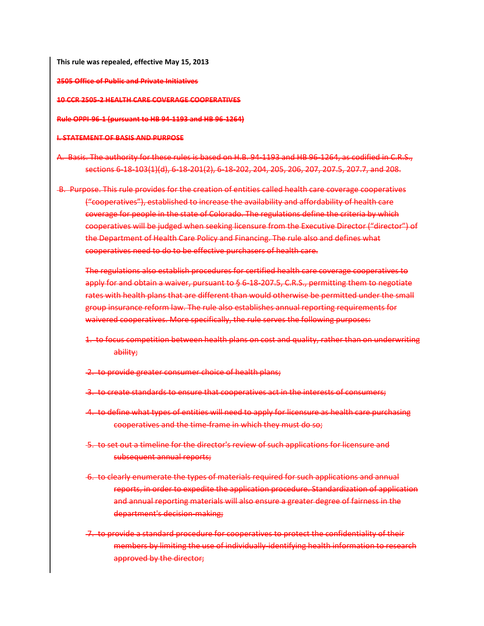**This rule was repealed, effective May 15, 2013**

**2505 Office of Public and Private Initiatives**

**10 CCR 2505-2 HEALTH CARE COVERAGE COOPERATIVES**

**Rule OPPI-96-1 (pursuant to HB 94-1193 and HB 96-1264)**

#### **I. STATEMENT OF BASIS AND PURPOSE**

- A. Basis. The authority for these rules is based on H.B. 94-1193 and HB 96-1264, as codified in C.R.S., sections 6-18-103(1)(d), 6-18-201(2), 6-18-202, 204, 205, 206, 207, 207.5, 207.7, and 208.
- B. Purpose. This rule provides for the creation of entities called health care coverage cooperatives ("cooperatives"), established to increase the availability and affordability of health care coverage for people in the state of Colorado. The regulations define the criteria by which cooperatives will be judged when seeking licensure from the Executive Director ("director") of the Department of Health Care Policy and Financing. The rule also and defines what cooperatives need to do to be effective purchasers of health care.

The regulations also establish procedures for certified health care coverage cooperatives to apply for and obtain a waiver, pursuant to § 6-18-207.5, C.R.S., permitting them to negotiate rates with health plans that are different than would otherwise be permitted under the small group insurance reform law. The rule also establishes annual reporting requirements for waivered cooperatives. More specifically, the rule serves the following purposes:

- 1. to focus competition between health plans on cost and quality, rather than on underwriting ability;
- 2. to provide greater consumer choice of health plans;
- 3. to create standards to ensure that cooperatives act in the interests of consumers;
- 4. to define what types of entities will need to apply for licensure as health care purchasing cooperatives and the time-frame in which they must do so;
- 5. to set out a timeline for the director's review of such applications for licensure and subsequent annual reports;
- 6. to clearly enumerate the types of materials required for such applications and annual reports, in order to expedite the application procedure. Standardization of application and annual reporting materials will also ensure a greater degree of fairness in the department's decision-making;
- 7. to provide a standard procedure for cooperatives to protect the confidentiality of their members by limiting the use of individually-identifying health information to research approved by the director;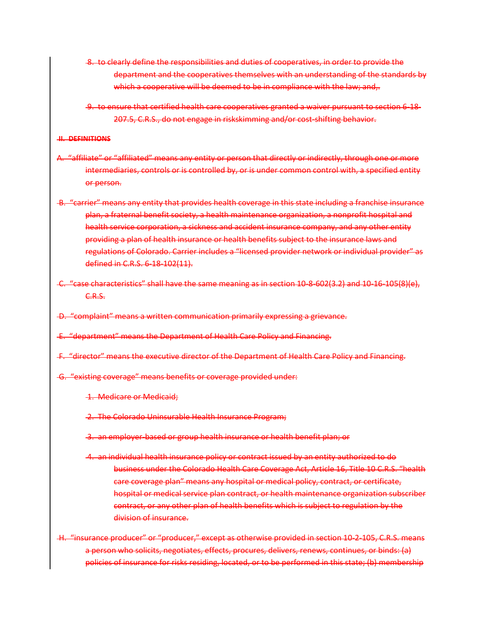- 8. to clearly define the responsibilities and duties of cooperatives, in order to provide the department and the cooperatives themselves with an understanding of the standards by which a cooperative will be deemed to be in compliance with the law; and,.
- 9. to ensure that certified health care cooperatives granted a waiver pursuant to section 6-18- 207.5, C.R.S., do not engage in riskskimming and/or cost-shifting behavior.

## **II. DEFINITIONS**

- A. "affiliate" or "affiliated" means any entity or person that directly or indirectly, through one or more intermediaries, controls or is controlled by, or is under common control with, a specified entity or person.
- B. "carrier" means any entity that provides health coverage in this state including a franchise insurance plan, a fraternal benefit society, a health maintenance organization, a nonprofit hospital and health service corporation, a sickness and accident insurance company, and any other entity providing a plan of health insurance or health benefits subject to the insurance laws and regulations of Colorado. Carrier includes a "licensed provider network or individual provider" as defined in C.R.S. 6-18-102(11).
- C. "case characteristics" shall have the same meaning as in section 10-8-602(3.2) and 10-16-105(8)(e), C.R.S.
- D. "complaint" means a written communication primarily expressing a grievance.
- E. "department" means the Department of Health Care Policy and Financing.
- F. "director" means the executive director of the Department of Health Care Policy and Financing.
- G. "existing coverage" means benefits or coverage provided under:
	- 1. Medicare or Medicaid;
	- 2. The Colorado Uninsurable Health Insurance Program;
	- 3. an employer-based or group health insurance or health benefit plan; or
	- 4. an individual health insurance policy or contract issued by an entity authorized to do business under the Colorado Health Care Coverage Act, Article 16, Title 10 C.R.S. "health care coverage plan" means any hospital or medical policy, contract, or certificate, hospital or medical service plan contract, or health maintenance organization subscriber contract, or any other plan of health benefits which is subject to regulation by the division of insurance.
- H. "insurance producer" or "producer," except as otherwise provided in section 10-2-105, C.R.S. means a person who solicits, negotiates, effects, procures, delivers, renews, continues, or binds: (a) policies of insurance for risks residing, located, or to be performed in this state; (b) membership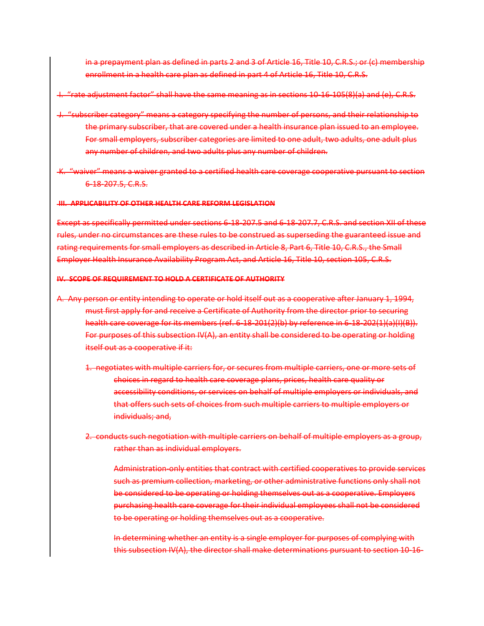in a prepayment plan as defined in parts 2 and 3 of Article 16, Title 10, C.R.S.; or (c) membership enrollment in a health care plan as defined in part 4 of Article 16, Title 10, C.R.S.

- I. "rate adjustment factor" shall have the same meaning as in sections 10-16-105(8)(a) and (e), C.R.S.
- J. "subscriber category" means a category specifying the number of persons, and their relationship to the primary subscriber, that are covered under a health insurance plan issued to an employee. For small employers, subscriber categories are limited to one adult, two adults, one adult plus any number of children, and two adults plus any number of children.
- K. "waiver" means a waiver granted to a certified health care coverage cooperative pursuant to section 6-18-207.5, C.R.S.

#### **III. APPLICABILITY OF OTHER HEALTH CARE REFORM LEGISLATION**

Except as specifically permitted under sections 6-18-207.5 and 6-18-207.7, C.R.S. and section XII of these rules, under no circumstances are these rules to be construed as superseding the guaranteed issue and rating requirements for small employers as described in Article 8, Part 6, Title 10, C.R.S., the Small Employer Health Insurance Availability Program Act, and Article 16, Title 10, section 105, C.R.S.

## **IV. SCOPE OF REQUIREMENT TO HOLD A CERTIFICATE OF AUTHORITY**

- A. Any person or entity intending to operate or hold itself out as a cooperative after January 1, 1994, must first apply for and receive a Certificate of Authority from the director prior to securing health care coverage for its members (ref. 6-18-201(2)(b) by reference in 6-18-202(1)(a)(I)(B)). For purposes of this subsection IV(A), an entity shall be considered to be operating or holding itself out as a cooperative if it:
	- 1. negotiates with multiple carriers for, or secures from multiple carriers, one or more sets of choices in regard to health care coverage plans, prices, health care quality or accessibility conditions, or services on behalf of multiple employers or individuals, and that offers such sets of choices from such multiple carriers to multiple employers or individuals; and,
	- 2. conducts such negotiation with multiple carriers on behalf of multiple employers as a group, rather than as individual employers.
		- Administration-only entities that contract with certified cooperatives to provide services such as premium collection, marketing, or other administrative functions only shall not be considered to be operating or holding themselves out as a cooperative. Employers purchasing health care coverage for their individual employees shall not be considered to be operating or holding themselves out as a cooperative.
		- In determining whether an entity is a single employer for purposes of complying with this subsection IV(A), the director shall make determinations pursuant to section 10-16-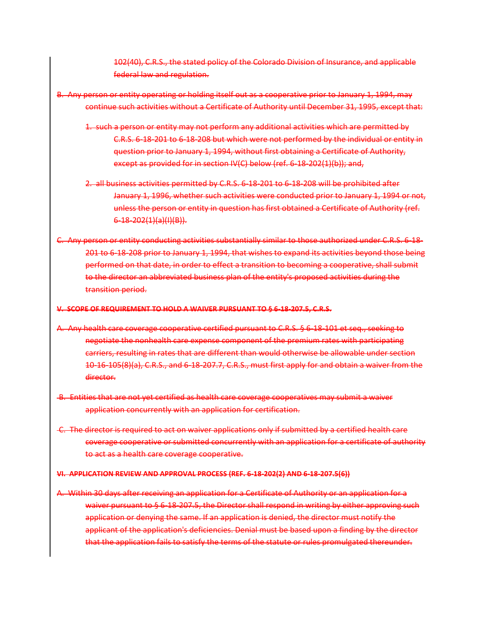102(40), C.R.S., the stated policy of the Colorado Division of Insurance, and applicable federal law and regulation.

- B. Any person or entity operating or holding itself out as a cooperative prior to January 1, 1994, may continue such activities without a Certificate of Authority until December 31, 1995, except that:
	- 1. such a person or entity may not perform any additional activities which are permitted by C.R.S. 6-18-201 to 6-18-208 but which were not performed by the individual or entity in question prior to January 1, 1994, without first obtaining a Certificate of Authority, except as provided for in section IV(C) below (ref. 6-18-202(1)(b)); and,
	- 2. all business activities permitted by C.R.S. 6-18-201 to 6-18-208 will be prohibited after January 1, 1996, whether such activities were conducted prior to January 1, 1994 or not, unless the person or entity in question has first obtained a Certificate of Authority (ref. 6-18-202(1)(a)(I)(B)).
- C. Any person or entity conducting activities substantially similar to those authorized under C.R.S. 6-18- 201 to 6-18-208 prior to January 1, 1994, that wishes to expand its activities beyond those being performed on that date, in order to effect a transition to becoming a cooperative, shall submit to the director an abbreviated business plan of the entity's proposed activities during the transition period.

#### **V. SCOPE OF REQUIREMENT TO HOLD A WAIVER PURSUANT TO § 6-18-207.5, C.R.S.**

- A. Any health care coverage cooperative certified pursuant to C.R.S. § 6-18-101 et seq., seeking to negotiate the nonhealth care expense component of the premium rates with participating carriers, resulting in rates that are different than would otherwise be allowable under section 10-16-105(8)(a), C.R.S., and 6-18-207.7, C.R.S., must first apply for and obtain a waiver from the director.
- B. Entities that are not yet certified as health care coverage cooperatives may submit a waiver application concurrently with an application for certification.
- C. The director is required to act on waiver applications only if submitted by a certified health care coverage cooperative or submitted concurrently with an application for a certificate of authority to act as a health care coverage cooperative.

#### **VI. APPLICATION REVIEW AND APPROVAL PROCESS (REF. 6-18-202(2) AND 6-18-207.5(6))**

A. Within 30 days after receiving an application for a Certificate of Authority or an application for a waiver pursuant to § 6-18-207.5, the Director shall respond in writing by either approving such application or denying the same. If an application is denied, the director must notify the applicant of the application's deficiencies. Denial must be based upon a finding by the director that the application fails to satisfy the terms of the statute or rules promulgated thereunder.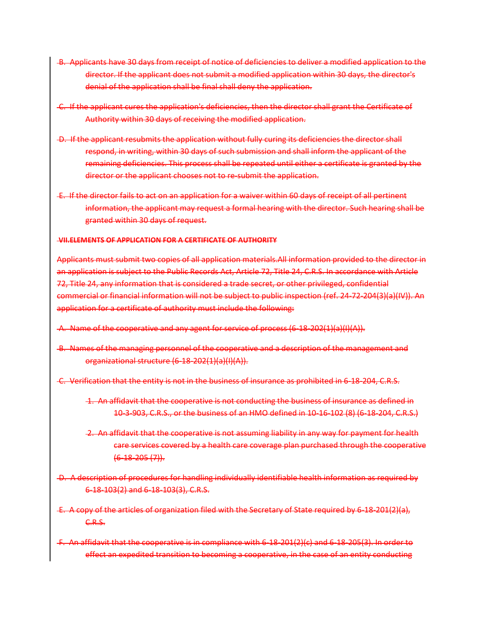- B. Applicants have 30 days from receipt of notice of deficiencies to deliver a modified application to the director. If the applicant does not submit a modified application within 30 days, the director's denial of the application shall be final shall deny the application.
- C. If the applicant cures the application's deficiencies, then the director shall grant the Certificate of Authority within 30 days of receiving the modified application.
- D. If the applicant resubmits the application without fully curing its deficiencies the director shall respond, in writing, within 30 days of such submission and shall inform the applicant of the remaining deficiencies. This process shall be repeated until either a certificate is granted by the director or the applicant chooses not to re-submit the application.
- E. If the director fails to act on an application for a waiver within 60 days of receipt of all pertinent information, the applicant may request a formal hearing with the director. Such hearing shall be granted within 30 days of request.

## **VII.ELEMENTS OF APPLICATION FOR A CERTIFICATE OF AUTHORITY**

Applicants must submit two copies of all application materials.All information provided to the director in an application is subject to the Public Records Act, Article 72, Title 24, C.R.S. In accordance with Article 72, Title 24, any information that is considered a trade secret, or other privileged, confidential commercial or financial information will not be subject to public inspection (ref. 24-72-204(3)(a)(IV)). An application for a certificate of authority must include the following:

- A. Name of the cooperative and any agent for service of process (6-18-202(1)(a)(I)(A)).
- B. Names of the managing personnel of the cooperative and a description of the management and organizational structure (6-18-202(1)(a)(I)(A)).
- C. Verification that the entity is not in the business of insurance as prohibited in 6-18-204, C.R.S.
	- 1. An affidavit that the cooperative is not conducting the business of insurance as defined in 10-3-903, C.R.S., or the business of an HMO defined in 10-16-102 (8) (6-18-204, C.R.S.)
	- 2. An affidavit that the cooperative is not assuming liability in any way for payment for health care services covered by a health care coverage plan purchased through the cooperative  $(6-18-205(7))$ .
- D. A description of procedures for handling individually identifiable health information as required by 6-18-103(2) and 6-18-103(3), C.R.S.
- E. A copy of the articles of organization filed with the Secretary of State required by 6-18-201(2)(a), C.R.S.
- F. An affidavit that the cooperative is in compliance with 6-18-201(2)(c) and 6-18-205(3). In order to effect an expedited transition to becoming a cooperative, in the case of an entity conducting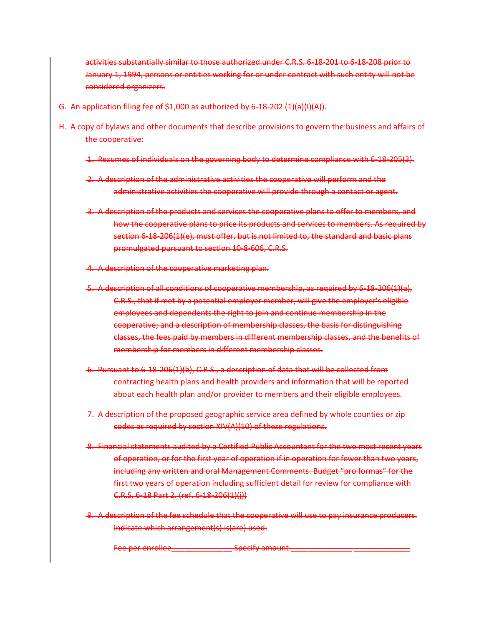activities substantially similar to those authorized under C.R.S. 6-18-201 to 6-18-208 prior to January 1, 1994, persons or entities working for or under contract with such entity will not be considered organizers.

- G. An application filing fee of \$1,000 as authorized by 6-18-202 (1)(a)(I)(A)).
- H. A copy of bylaws and other documents that describe provisions to govern the business and affairs of the cooperative:
	- 1. Resumes of individuals on the governing body to determine compliance with 6-18-205(3).
	- 2. A description of the administrative activities the cooperative will perform and the administrative activities the cooperative will provide through a contact or agent.
	- 3. A description of the products and services the cooperative plans to offer to members, and how the cooperative plans to price its products and services to members. As required by section 6-18-206(1)(e), must offer, but is not limited to, the standard and basic plans promulgated pursuant to section 10-8-606, C.R.S.
	- 4. A description of the cooperative marketing plan.
	- 5. A description of all conditions of cooperative membership, as required by 6-18-206(1)(a), C.R.S., that if met by a potential employer member, will give the employer's eligible employees and dependents the right to join and continue membership in the cooperative; and a description of membership classes, the basis for distinguishing classes, the fees paid by members in different membership classes, and the benefits of membership for members in different membership classes.
	- 6. Pursuant to 6-18-206(1)(b), C.R.S., a description of data that will be collected from contracting health plans and health providers and information that will be reported about each health plan and/or provider to members and their eligible employees.
	- 7. A description of the proposed geographic service area defined by whole counties or zip codes as required by section XIV(A)(10) of these regulations.
	- 8. Financial statements audited by a Certified Public Accountant for the two most recent years of operation, or for the first year of operation if in operation for fewer than two years, including any written and oral Management Comments. Budget "pro formas" for the first two years of operation including sufficient detail for review for compliance with C.R.S. 6-18 Part 2. (ref. 6-18-206(1)(j))
	- 9. A description of the fee schedule that the cooperative will use to pay insurance producers. Indicate which arrangement(s) is(are) used:

Fee per enrollee\_\_\_\_\_\_\_\_\_\_\_\_\_\_ Specify amount:\_\_\_\_\_\_\_\_\_\_\_\_\_\_ \_\_\_\_\_\_\_\_\_\_\_\_\_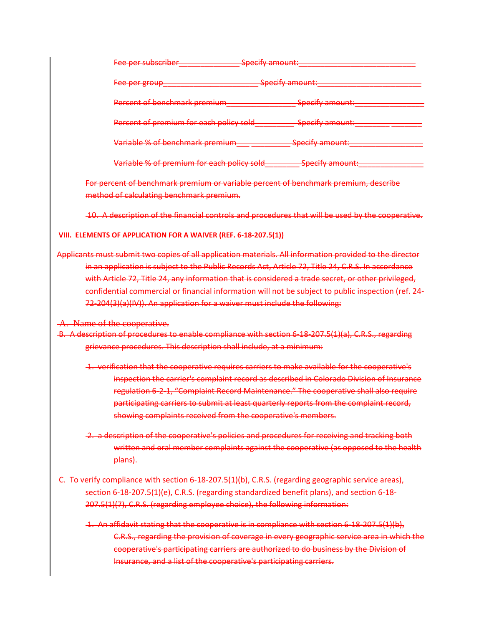| <del>Fee per subscriber</del>                    | Specify amount: |
|--------------------------------------------------|-----------------|
| <u>Egg nor group</u><br><del>rce per group</del> | Specify amount: |
| Percent of benchmark premium                     | Specify amount: |
| Percent of premium for each policy sold          | Specify amount: |
| Variable % of benchmark premium                  | Specify amount: |
| Variable % of premium for each policy sold       | Specify amount: |

For percent of benchmark premium or variable percent of benchmark premium, describe method of calculating benchmark premium.

10. A description of the financial controls and procedures that will be used by the cooperative.

## **VIII. ELEMENTS OF APPLICATION FOR A WAIVER (REF. 6-18-207.5(1))**

Applicants must submit two copies of all application materials. All information provided to the director in an application is subject to the Public Records Act, Article 72, Title 24, C.R.S. In accordance with Article 72, Title 24, any information that is considered a trade secret, or other privileged, confidential commercial or financial information will not be subject to public inspection (ref. 24- 72-204(3)(a)(IV)). An application for a waiver must include the following:

## A. Name of the cooperative.

B. A description of procedures to enable compliance with section 6-18-207.5(1)(a), C.R.S., regarding grievance procedures. This description shall include, at a minimum:

- 1. verification that the cooperative requires carriers to make available for the cooperative's inspection the carrier's complaint record as described in Colorado Division of Insurance regulation 6-2-1, "Complaint Record Maintenance." The cooperative shall also require participating carriers to submit at least quarterly reports from the complaint record, showing complaints received from the cooperative's members.
- 2. a description of the cooperative's policies and procedures for receiving and tracking both written and oral member complaints against the cooperative (as opposed to the health plans).
- C. To verify compliance with section 6-18-207.5(1)(b), C.R.S. (regarding geographic service areas), section 6-18-207.5(1)(e), C.R.S. (regarding standardized benefit plans), and section 6-18- 207.5(1)(7), C.R.S. (regarding employee choice), the following information:
	- 1. An affidavit stating that the cooperative is in compliance with section 6-18-207.5(1)(b), C.R.S., regarding the provision of coverage in every geographic service area in which the cooperative's participating carriers are authorized to do business by the Division of Insurance, and a list of the cooperative's participating carriers.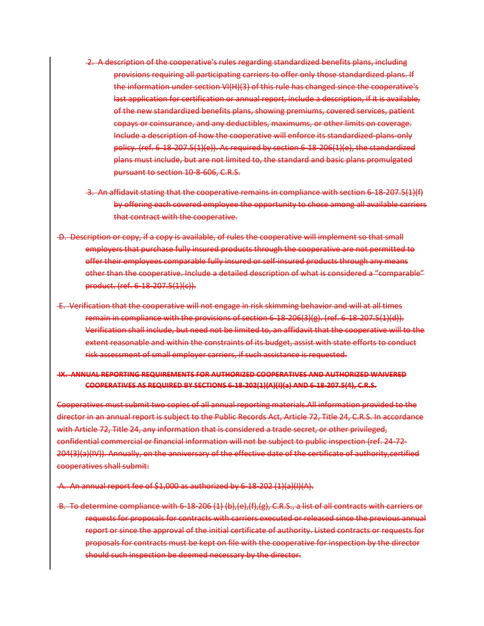- 2. A description of the cooperative's rules regarding standardized benefits plans, including provisions requiring all participating carriers to offer only those standardized plans. If the information under section VI(H)(3) of this rule has changed since the cooperative's last application for certification or annual report, include a description, if it is available, of the new standardized benefits plans, showing premiums, covered services, patient copays or coinsurance, and any deductibles, maximums, or other limits on coverage. Include a description of how the cooperative will enforce its standardized-plans-only policy. (ref. 6-18-207.5(1)(e)). As required by section 6-18-206(1)(e), the standardized plans must include, but are not limited to, the standard and basic plans promulgated pursuant to section 10-8-606, C.R.S.
- 3. An affidavit stating that the cooperative remains in compliance with section 6-18-207.5(1)(f) by offering each covered employee the opportunity to chose among all available carriers that contract with the cooperative.
- D. Description or copy, if a copy is available, of rules the cooperative will implement so that small employers that purchase fully insured products through the cooperative are not permitted to offer their employees comparable fully insured or self-insured products through any means other than the cooperative. Include a detailed description of what is considered a "comparable" product. (ref. 6-18-207.5(1)(c)).
- E. Verification that the cooperative will not engage in risk skimming behavior and will at all times remain in compliance with the provisions of section 6-18-206(3)(g). (ref. 6-18-207.5(1)(d)). Verification shall include, but need not be limited to, an affidavit that the cooperative will to the extent reasonable and within the constraints of its budget, assist with state efforts to conduct risk assessment of small employer carriers, if such assistance is requested.

# **IX. ANNUAL REPORTING REQUIREMENTS FOR AUTHORIZED COOPERATIVES AND AUTHORIZED WAIVERED COOPERATIVES AS REQUIRED BY SECTIONS 6-18-202(1)(A)(I)(a) AND 6-18-207.5(4), C.R.S.**

Cooperatives must submit two copies of all annual reporting materials.All information provided to the director in an annual report is subject to the Public Records Act, Article 72, Title 24, C.R.S. In accordance with Article 72, Title 24, any information that is considered a trade secret, or other privileged, confidential commercial or financial information will not be subject to public inspection (ref. 24-72- 204(3)(a)(IV)). Annually, on the anniversary of the effective date of the certificate of authority,certified cooperatives shall submit:

A. An annual report fee of \$1,000 as authorized by 6-18-202 (1)(a)(I)(A).

B. To determine compliance with 6-18-206 (1) (b),(e),(f),(g), C.R.S., a list of all contracts with carriers or requests for proposals for contracts with carriers executed or released since the previous annual report or since the approval of the initial certificate of authority. Listed contracts or requests for proposals for contracts must be kept on file with the cooperative for inspection by the director should such inspection be deemed necessary by the director.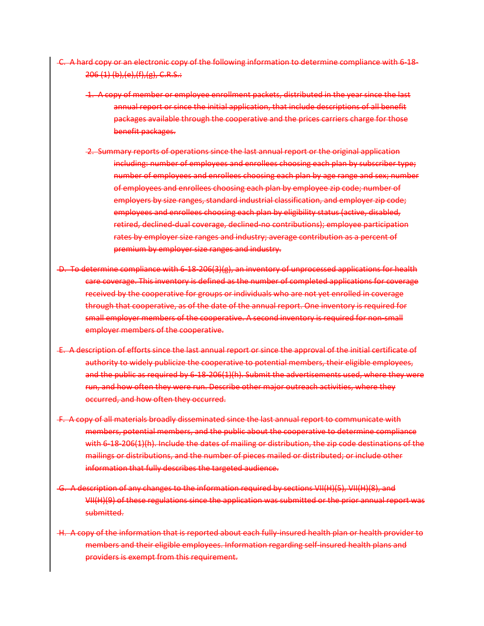- C. A hard copy or an electronic copy of the following information to determine compliance with 6-18- 206 (1) (b),(e),(f),(g), C.R.S.:
	- 1. A copy of member or employee enrollment packets, distributed in the year since the last annual report or since the initial application, that include descriptions of all benefit packages available through the cooperative and the prices carriers charge for those benefit packages.
	- 2. Summary reports of operations since the last annual report or the original application including: number of employees and enrollees choosing each plan by subscriber type; number of employees and enrollees choosing each plan by age range and sex; number of employees and enrollees choosing each plan by employee zip code; number of employers by size ranges, standard industrial classification, and employer zip code; employees and enrollees choosing each plan by eligibility status (active, disabled, retired, declined-dual coverage, declined-no contributions); employee participation rates by employer size ranges and industry; average contribution as a percent of premium by employer size ranges and industry.
- D. To determine compliance with 6-18-206(3)(g), an inventory of unprocessed applications for health care coverage. This inventory is defined as the number of completed applications for coverage received by the cooperative for groups or individuals who are not yet enrolled in coverage through that cooperative, as of the date of the annual report. One inventory is required for small employer members of the cooperative. A second inventory is required for non-small employer members of the cooperative.
- E. A description of efforts since the last annual report or since the approval of the initial certificate of authority to widely publicize the cooperative to potential members, their eligible employees, and the public as required by 6-18-206(1)(h). Submit the advertisements used, where they were run, and how often they were run. Describe other major outreach activities, where they occurred, and how often they occurred.
- F. A copy of all materials broadly disseminated since the last annual report to communicate with members, potential members, and the public about the cooperative to determine compliance with 6-18-206(1)(h). Include the dates of mailing or distribution, the zip code destinations of the mailings or distributions, and the number of pieces mailed or distributed; or include other information that fully describes the targeted audience.
- G. A description of any changes to the information required by sections VII(H)(5), VII(H)(8), and VII(H)(9) of these regulations since the application was submitted or the prior annual report was submitted.
- H. A copy of the information that is reported about each fully-insured health plan or health provider to members and their eligible employees. Information regarding self-insured health plans and providers is exempt from this requirement.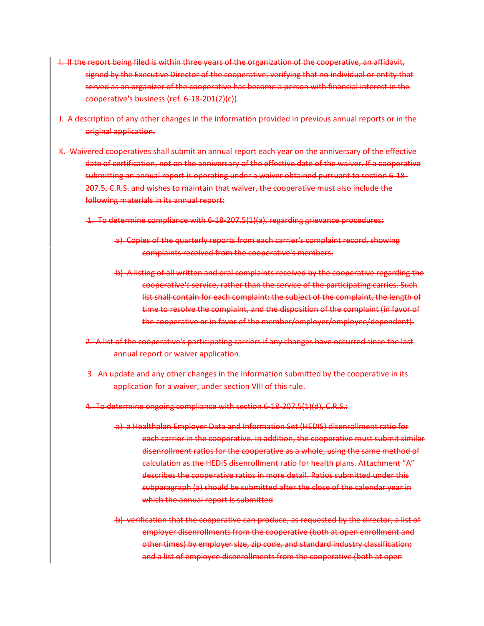- I. If the report being filed is within three years of the organization of the cooperative, an affidavit, signed by the Executive Director of the cooperative, verifying that no individual or entity that served as an organizer of the cooperative has become a person with financial interest in the cooperative's business (ref. 6-18-201(2)(c)).
- J. A description of any other changes in the information provided in previous annual reports or in the original application.
- K. Waivered cooperatives shall submit an annual report each year on the anniversary of the effective date of certification, not on the anniversary of the effective date of the waiver. If a cooperative submitting an annual report is operating under a waiver obtained pursuant to section 6-18- 207.5, C.R.S. and wishes to maintain that waiver, the cooperative must also include the following materials in its annual report:
	- 1. To determine compliance with 6-18-207.5(1)(a), regarding grievance procedures:
		- a) Copies of the quarterly reports from each carrier's complaint record, showing complaints received from the cooperative's members.
		- b) A listing of all written and oral complaints received by the cooperative regarding the cooperative's service, rather than the service of the participating carries. Such list shall contain for each complaint: the subject of the complaint, the length of time to resolve the complaint, and the disposition of the complaint (in favor of the cooperative or in favor of the member/employer/employee/dependent).
	- 2. A list of the cooperative's participating carriers if any changes have occurred since the last annual report or waiver application.
	- 3. An update and any other changes in the information submitted by the cooperative in its application for a waiver, under section VIII of this rule.
	- 4. To determine ongoing compliance with section 6-18-207.5(1)(d), C.R.S.:
		- a) a Healthplan Employer Data and Information Set (HEDIS) disenrollment ratio for each carrier in the cooperative. In addition, the cooperative must submit similar disenrollment ratios for the cooperative as a whole, using the same method of calculation as the HEDIS disenrollment ratio for health plans. Attachment "A" describes the cooperative ratios in more detail. Ratios submitted under this subparagraph (a) should be submitted after the close of the calendar year in which the annual report is submitted
		- b) verification that the cooperative can produce, as requested by the director, a list of employer disenrollments from the cooperative (both at open enrollment and other times) by employer size, zip code, and standard industry classification; and a list of employee disenrollments from the cooperative (both at open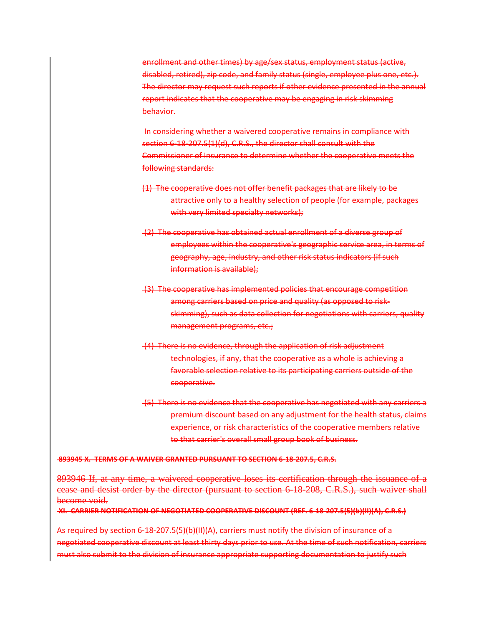enrollment and other times) by age/sex status, employment status (active, disabled, retired), zip code, and family status (single, employee plus one, etc.). The director may request such reports if other evidence presented in the annual report indicates that the cooperative may be engaging in risk skimming behavior.

In considering whether a waivered cooperative remains in compliance with section 6-18-207.5(1)(d), C.R.S., the director shall consult with the Commissioner of Insurance to determine whether the cooperative meets the following standards:

- (1) The cooperative does not offer benefit packages that are likely to be attractive only to a healthy selection of people (for example, packages with very limited specialty networks);
- (2) The cooperative has obtained actual enrollment of a diverse group of employees within the cooperative's geographic service area, in terms of geography, age, industry, and other risk status indicators (if such information is available);
- (3) The cooperative has implemented policies that encourage competition among carriers based on price and quality (as opposed to riskskimming), such as data collection for negotiations with carriers, quality management programs, etc.;
- (4) There is no evidence, through the application of risk adjustment technologies, if any, that the cooperative as a whole is achieving a favorable selection relative to its participating carriers outside of the cooperative.
- (5) There is no evidence that the cooperative has negotiated with any carriers a premium discount based on any adjustment for the health status, claims experience, or risk characteristics of the cooperative members relative to that carrier's overall small group book of business.

## **893945 X. TERMS OF A WAIVER GRANTED PURSUANT TO SECTION 6-18-207.5, C.R.S.**

893946 If, at any time, a waivered cooperative loses its certification through the issuance of a cease and desist order by the director (pursuant to section 6-18-208, C.R.S.), such waiver shall become void.

**XI. CARRIER NOTIFICATION OF NEGOTIATED COOPERATIVE DISCOUNT (REF. 6-18-207.5(5)(b)(II)(A), C.R.S.)** 

As required by section 6-18-207.5(5)(b)(II)(A), carriers must notify the division of insurance of a negotiated cooperative discount at least thirty days prior to use. At the time of such notification, carriers must also submit to the division of insurance appropriate supporting documentation to justify such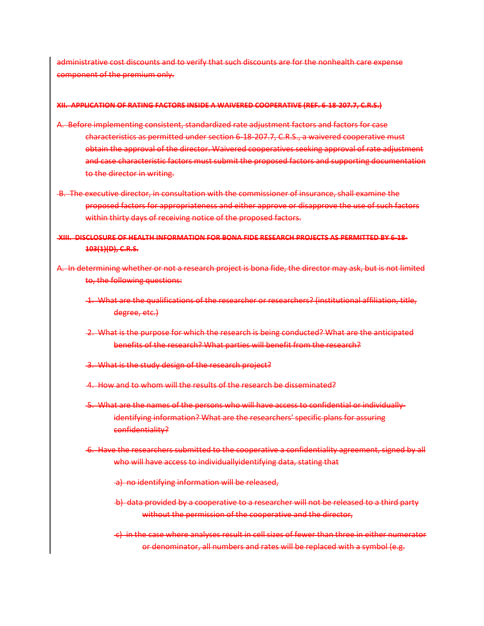administrative cost discounts and to verify that such discounts are for the nonhealth care expense component of the premium only.

### **XII. APPLICATION OF RATING FACTORS INSIDE A WAIVERED COOPERATIVE (REF. 6-18-207.7, C.R.S.)**

- A. Before implementing consistent, standardized rate adjustment factors and factors for case characteristics as permitted under section 6-18-207.7, C.R.S., a waivered cooperative must obtain the approval of the director. Waivered cooperatives seeking approval of rate adjustment and case characteristic factors must submit the proposed factors and supporting documentation to the director in writing.
- B. The executive director, in consultation with the commissioner of insurance, shall examine the proposed factors for appropriateness and either approve or disapprove the use of such factors within thirty days of receiving notice of the proposed factors.

**XIII. DISCLOSURE OF HEALTH INFORMATION FOR BONA FIDE RESEARCH PROJECTS AS PERMITTED BY 6-18- 103(1)(D), C.R.S.** 

A. In determining whether or not a research project is bona fide, the director may ask, but is not limited to, the following questions:

- 1. What are the qualifications of the researcher or researchers? (institutional affiliation, title, degree, etc.)
- 2. What is the purpose for which the research is being conducted? What are the anticipated benefits of the research? What parties will benefit from the research?
- 3. What is the study design of the research project?
- 4. How and to whom will the results of the research be disseminated?
- 5. What are the names of the persons who will have access to confidential or individuallyidentifying information? What are the researchers' specific plans for assuring confidentiality?
- 6. Have the researchers submitted to the cooperative a confidentiality agreement, signed by all who will have access to individuallyidentifying data, stating that
	- a) no identifying information will be released,
	- b) data provided by a cooperative to a researcher will not be released to a third party without the permission of the cooperative and the director,
	- c) in the case where analyses result in cell sizes of fewer than three in either numerator or denominator, all numbers and rates will be replaced with a symbol (e.g.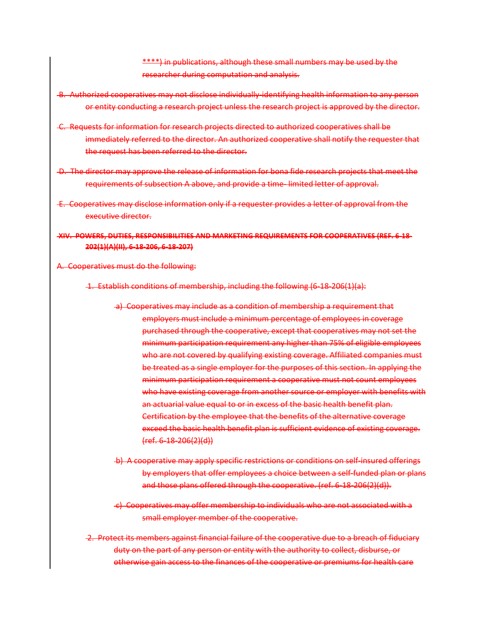\*\*\*\*) in publications, although these small numbers may be used by the researcher during computation and analysis.

- B. Authorized cooperatives may not disclose individually-identifying health information to any person or entity conducting a research project unless the research project is approved by the director.
- C. Requests for information for research projects directed to authorized cooperatives shall be immediately referred to the director. An authorized cooperative shall notify the requester that the request has been referred to the director.
- D. The director may approve the release of information for bona fide research projects that meet the requirements of subsection A above, and provide a time- limited letter of approval.
- E. Cooperatives may disclose information only if a requester provides a letter of approval from the executive director.

**XIV. POWERS, DUTIES, RESPONSIBILITIES AND MARKETING REQUIREMENTS FOR COOPERATIVES (REF. 6-18- 202(1)(A)(II), 6-18-206, 6-18-207)** 

A. Cooperatives must do the following:

1. Establish conditions of membership, including the following (6-18-206(1)(a):

- a) Cooperatives may include as a condition of membership a requirement that employers must include a minimum percentage of employees in coverage purchased through the cooperative, except that cooperatives may not set the minimum participation requirement any higher than 75% of eligible employees who are not covered by qualifying existing coverage. Affiliated companies must be treated as a single employer for the purposes of this section. In applying the minimum participation requirement a cooperative must not count employees who have existing coverage from another source or employer with benefits with an actuarial value equal to or in excess of the basic health benefit plan. Certification by the employee that the benefits of the alternative coverage exceed the basic health benefit plan is sufficient evidence of existing coverage. (ref. 6-18-206(2)(d))
- b) A cooperative may apply specific restrictions or conditions on self-insured offerings by employers that offer employees a choice between a self-funded plan or plans and those plans offered through the cooperative. (ref. 6-18-206(2)(d)).
- c) Cooperatives may offer membership to individuals who are not associated with a small employer member of the cooperative.
- 2. Protect its members against financial failure of the cooperative due to a breach of fiduciary duty on the part of any person or entity with the authority to collect, disburse, or otherwise gain access to the finances of the cooperative or premiums for health care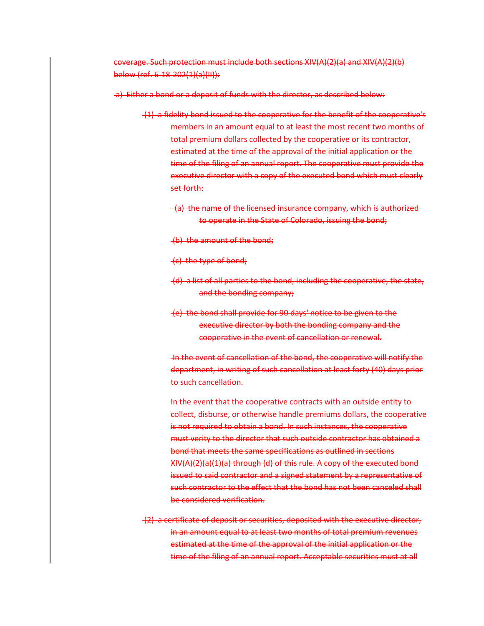coverage. Such protection must include both sections XIV(A)(2)(a) and XIV(A)(2)(b) below (ref. 6-18-202(1)(a)(II)):

a) Either a bond or a deposit of funds with the director, as described below:

- (1) a fidelity bond issued to the cooperative for the benefit of the cooperative's members in an amount equal to at least the most recent two months of total premium dollars collected by the cooperative or its contractor, estimated at the time of the approval of the initial application or the time of the filing of an annual report. The cooperative must provide the executive director with a copy of the executed bond which must clearly set forth:
	- (a) the name of the licensed insurance company, which is authorized to operate in the State of Colorado, issuing the bond;
	- (b) the amount of the bond;
	- (c) the type of bond;
	- (d) a list of all parties to the bond, including the cooperative, the state, and the bonding company;
	- (e) the bond shall provide for 90 days' notice to be given to the executive director by both the bonding company and the cooperative in the event of cancellation or renewal.

In the event of cancellation of the bond, the cooperative will notify the department, in writing of such cancellation at least forty (40) days prior to such cancellation.

In the event that the cooperative contracts with an outside entity to collect, disburse, or otherwise handle premiums dollars, the cooperative is not required to obtain a bond. In such instances, the cooperative must verity to the director that such outside contractor has obtained a bond that meets the same specifications as outlined in sections XIV(A)(2)(a)(1)(a) through (d) of this rule. A copy of the executed bond issued to said contractor and a signed statement by a representative of such contractor to the effect that the bond has not been canceled shall be considered verification.

(2) a certificate of deposit or securities, deposited with the executive director, in an amount equal to at least two months of total premium revenues estimated at the time of the approval of the initial application or the time of the filing of an annual report. Acceptable securities must at all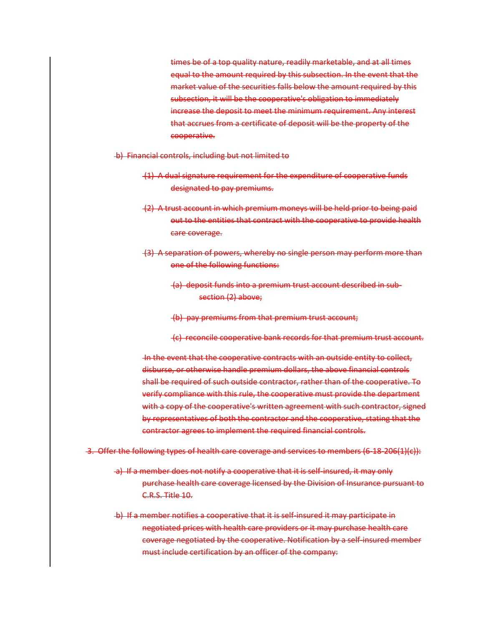times be of a top quality nature, readily marketable, and at all times equal to the amount required by this subsection. In the event that the market value of the securities falls below the amount required by this subsection, it will be the cooperative's obligation to immediately increase the deposit to meet the minimum requirement. Any interest that accrues from a certificate of deposit will be the property of the cooperative.

- b) Financial controls, including but not limited to
	- (1) A dual signature requirement for the expenditure of cooperative funds designated to pay premiums.
	- (2) A trust account in which premium moneys will be held prior to being paid out to the entities that contract with the cooperative to provide health care coverage.
	- (3) A separation of powers, whereby no single person may perform more than one of the following functions:
		- (a) deposit funds into a premium trust account described in subsection (2) above;
		- (b) pay premiums from that premium trust account;
		- (c) reconcile cooperative bank records for that premium trust account.

In the event that the cooperative contracts with an outside entity to collect, disburse, or otherwise handle premium dollars, the above financial controls shall be required of such outside contractor, rather than of the cooperative. To verify compliance with this rule, the cooperative must provide the department with a copy of the cooperative's written agreement with such contractor, signed by representatives of both the contractor and the cooperative, stating that the contractor agrees to implement the required financial controls.

- 3. Offer the following types of health care coverage and services to members (6-18-206(1)(c)):
	- a) If a member does not notify a cooperative that it is self-insured, it may only purchase health care coverage licensed by the Division of Insurance pursuant to C.R.S. Title 10.
	- b) If a member notifies a cooperative that it is self-insured it may participate in negotiated prices with health care providers or it may purchase health care coverage negotiated by the cooperative. Notification by a self-insured member must include certification by an officer of the company: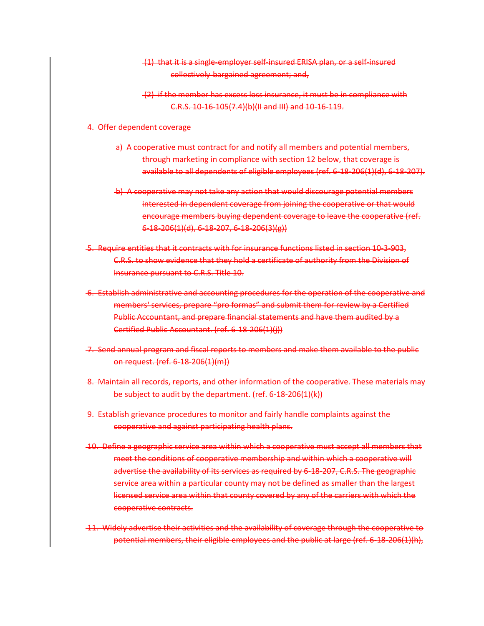- (1) that it is a single-employer self-insured ERISA plan, or a self-insured collectively-bargained agreement; and,
- (2) if the member has excess loss insurance, it must be in compliance with C.R.S. 10-16-105(7.4)(b)(II and III) and 10-16-119.

#### 4. Offer dependent coverage

- a) A cooperative must contract for and notify all members and potential members, through marketing in compliance with section 12 below, that coverage is available to all dependents of eligible employees (ref. 6-18-206(1)(d), 6-18-207).
- b) A cooperative may not take any action that would discourage potential members interested in dependent coverage from joining the cooperative or that would encourage members buying dependent coverage to leave the cooperative (ref. 6-18-206(1)(d), 6-18-207, 6-18-206(3)(g))
- 5. Require entities that it contracts with for insurance functions listed in section 10-3-903, C.R.S. to show evidence that they hold a certificate of authority from the Division of Insurance pursuant to C.R.S. Title 10.
- 6. Establish administrative and accounting procedures for the operation of the cooperative and members' services, prepare "pro formas" and submit them for review by a Certified Public Accountant, and prepare financial statements and have them audited by a Certified Public Accountant. (ref. 6-18-206(1)(j))
- 7. Send annual program and fiscal reports to members and make them available to the public on request. (ref. 6-18-206(1)(m))
- 8. Maintain all records, reports, and other information of the cooperative. These materials may be subject to audit by the department. (ref. 6-18-206(1)(k))
- 9. Establish grievance procedures to monitor and fairly handle complaints against the cooperative and against participating health plans.
- 10. Define a geographic service area within which a cooperative must accept all members that meet the conditions of cooperative membership and within which a cooperative will advertise the availability of its services as required by 6-18-207, C.R.S. The geographic service area within a particular county may not be defined as smaller than the largest licensed service area within that county covered by any of the carriers with which the cooperative contracts.
- 11. Widely advertise their activities and the availability of coverage through the cooperative to potential members, their eligible employees and the public at large (ref. 6-18-206(1)(h),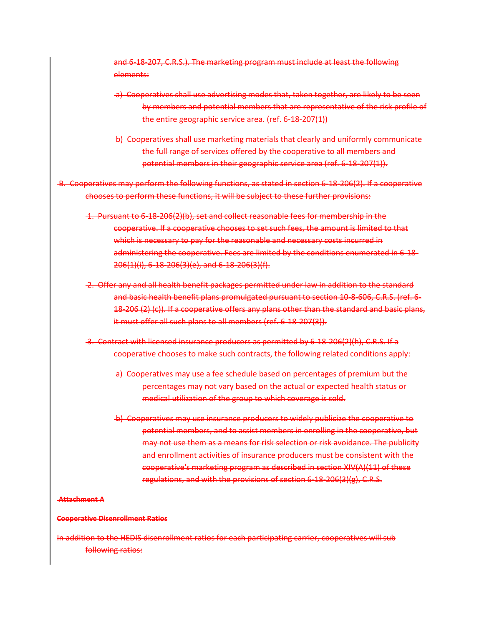and 6-18-207, C.R.S.). The marketing program must include at least the following elements:

- a) Cooperatives shall use advertising modes that, taken together, are likely to be seen by members and potential members that are representative of the risk profile of the entire geographic service area. (ref. 6-18-207(1))
- b) Cooperatives shall use marketing materials that clearly and uniformly communicate the full range of services offered by the cooperative to all members and potential members in their geographic service area (ref. 6-18-207(1)).
- B. Cooperatives may perform the following functions, as stated in section 6-18-206(2). If a cooperative chooses to perform these functions, it will be subject to these further provisions:
	- 1. Pursuant to 6-18-206(2)(b), set and collect reasonable fees for membership in the cooperative. If a cooperative chooses to set such fees, the amount is limited to that which is necessary to pay for the reasonable and necessary costs incurred in administering the cooperative. Fees are limited by the conditions enumerated in 6-18- 206(1)(i), 6-18-206(3)(e), and 6-18-206(3)(f).
	- 2. Offer any and all health benefit packages permitted under law in addition to the standard and basic health benefit plans promulgated pursuant to section 10-8-606, C.R.S. (ref. 6- 18-206 (2) (c)). If a cooperative offers any plans other than the standard and basic plans, it must offer all such plans to all members (ref. 6-18-207(3)).
	- 3. Contract with licensed insurance producers as permitted by 6-18-206(2)(h), C.R.S. If a cooperative chooses to make such contracts, the following related conditions apply:
		- a) Cooperatives may use a fee schedule based on percentages of premium but the percentages may not vary based on the actual or expected health status or medical utilization of the group to which coverage is sold.
		- b) Cooperatives may use insurance producers to widely publicize the cooperative to potential members, and to assist members in enrolling in the cooperative, but may not use them as a means for risk selection or risk avoidance. The publicity and enrollment activities of insurance producers must be consistent with the cooperative's marketing program as described in section XIV(A)(11) of these regulations, and with the provisions of section 6-18-206(3)(g), C.R.S.

## **Attachment A**

### **Cooperative Disenrollment Ratios**

In addition to the HEDIS disenrollment ratios for each participating carrier, cooperatives will sub following ratios: